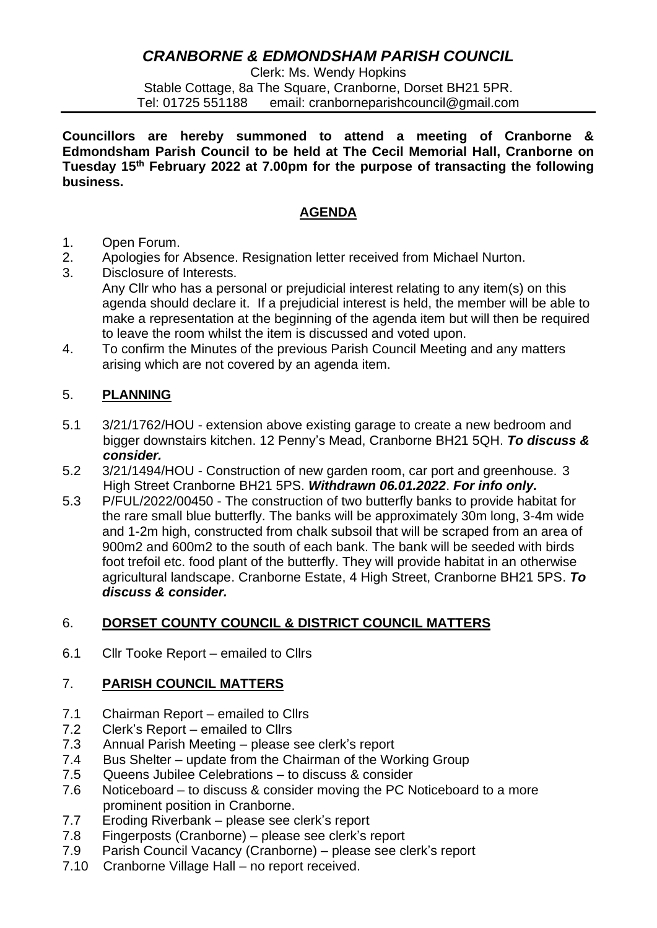# *CRANBORNE & EDMONDSHAM PARISH COUNCIL*

Clerk: Ms. Wendy Hopkins Stable Cottage, 8a The Square, Cranborne, Dorset BH21 5PR. Tel: 01725 551188 email: cranborneparishcouncil@gmail.com

**Councillors are hereby summoned to attend a meeting of Cranborne & Edmondsham Parish Council to be held at The Cecil Memorial Hall, Cranborne on Tuesday 15th February 2022 at 7.00pm for the purpose of transacting the following business.**

# **AGENDA**

- 1. Open Forum.
- 2. Apologies for Absence. Resignation letter received from Michael Nurton.
- 3. Disclosure of Interests. Any Cllr who has a personal or prejudicial interest relating to any item(s) on this agenda should declare it. If a prejudicial interest is held, the member will be able to make a representation at the beginning of the agenda item but will then be required to leave the room whilst the item is discussed and voted upon.
- 4. To confirm the Minutes of the previous Parish Council Meeting and any matters arising which are not covered by an agenda item.

# 5. **PLANNING**

- 5.1 3/21/1762/HOU extension above existing garage to create a new bedroom and bigger downstairs kitchen. 12 Penny's Mead, Cranborne BH21 5QH. *To discuss & consider.*
- 5.2 3/21/1494/HOU Construction of new garden room, car port and greenhouse. 3 High Street Cranborne BH21 5PS. *Withdrawn 06.01.2022*. *For info only.*
- 5.3 P/FUL/2022/00450 The construction of two butterfly banks to provide habitat for the rare small blue butterfly. The banks will be approximately 30m long, 3-4m wide and 1-2m high, constructed from chalk subsoil that will be scraped from an area of 900m2 and 600m2 to the south of each bank. The bank will be seeded with birds foot trefoil etc. food plant of the butterfly. They will provide habitat in an otherwise agricultural landscape. Cranborne Estate, 4 High Street, Cranborne BH21 5PS. *To discuss & consider.*

## 6. **DORSET COUNTY COUNCIL & DISTRICT COUNCIL MATTERS**

6.1 Cllr Tooke Report – emailed to Cllrs

## 7. **PARISH COUNCIL MATTERS**

- 7.1 Chairman Report emailed to Cllrs
- 7.2 Clerk's Report emailed to Cllrs
- 7.3 Annual Parish Meeting please see clerk's report
- 7.4 Bus Shelter update from the Chairman of the Working Group
- 7.5 Queens Jubilee Celebrations to discuss & consider
- 7.6 Noticeboard to discuss & consider moving the PC Noticeboard to a more prominent position in Cranborne.
- 7.7 Eroding Riverbank please see clerk's report
- 7.8 Fingerposts (Cranborne) please see clerk's report
- 7.9 Parish Council Vacancy (Cranborne) please see clerk's report
- 7.10 Cranborne Village Hall no report received.